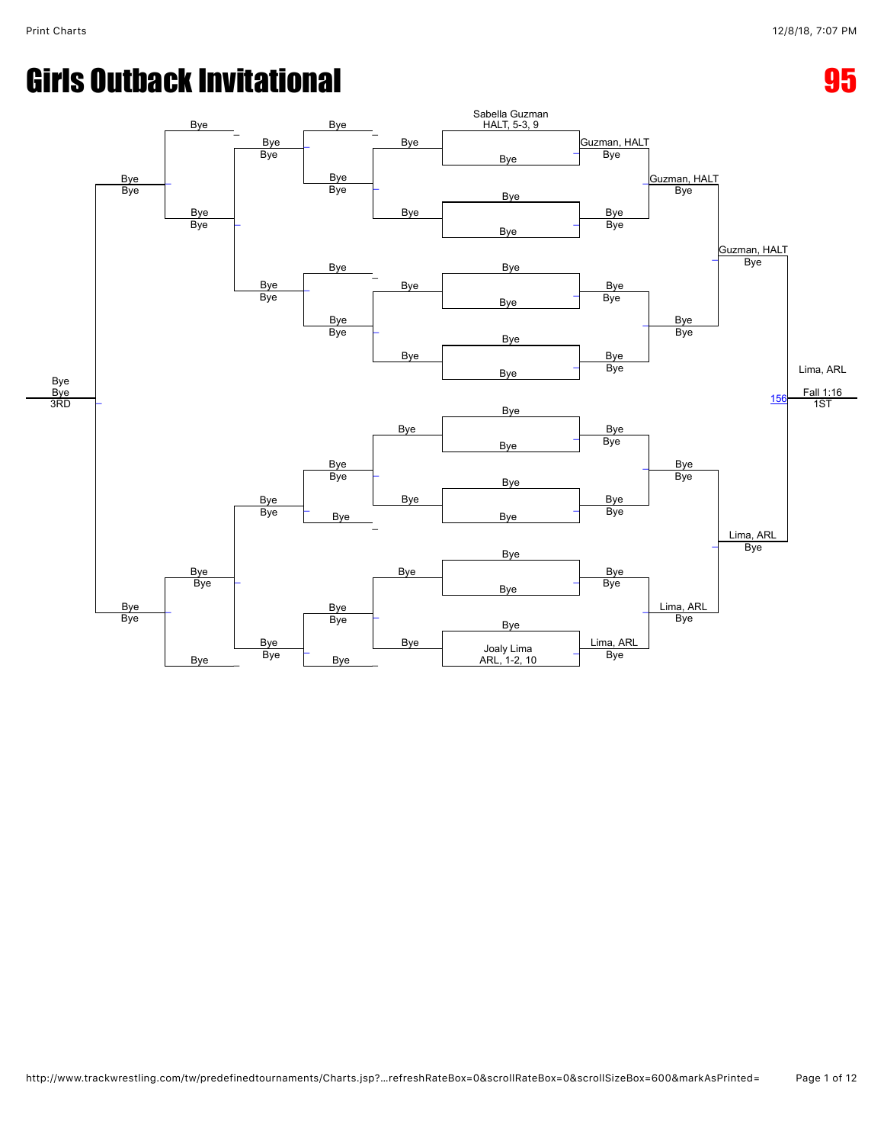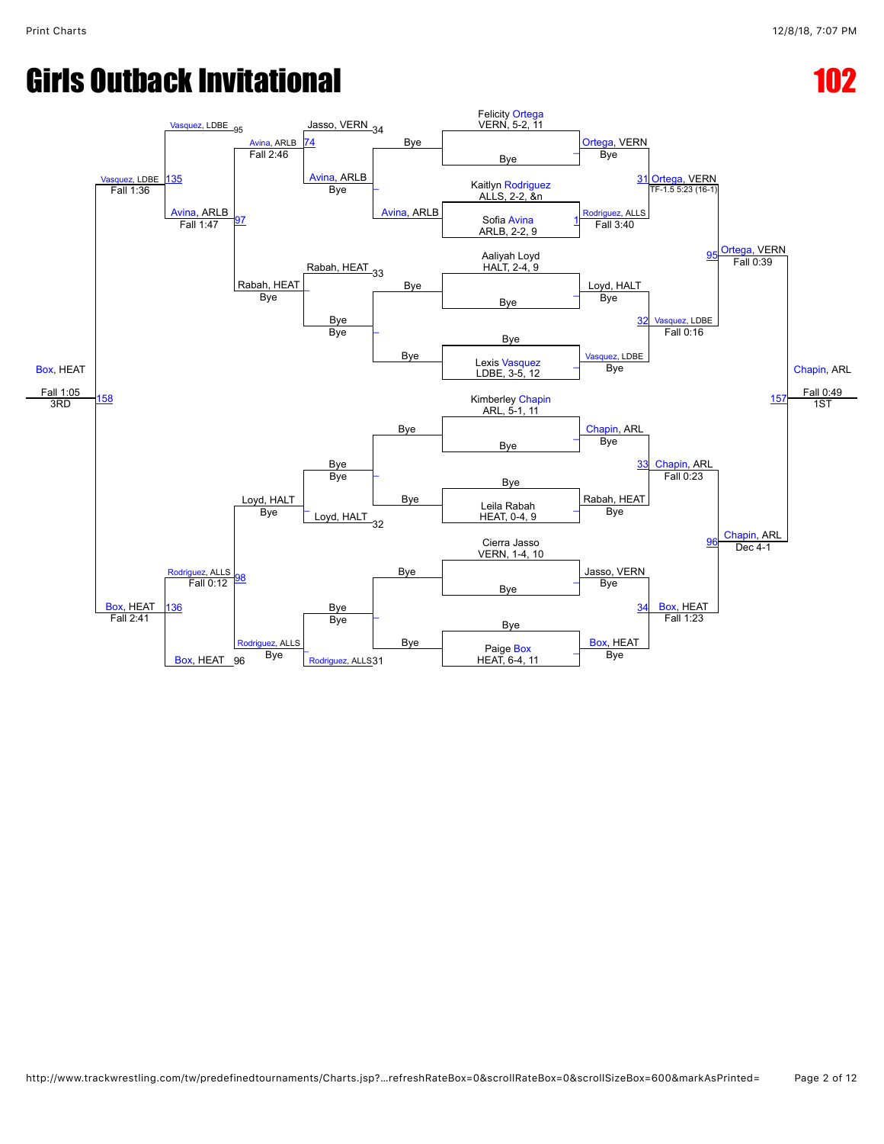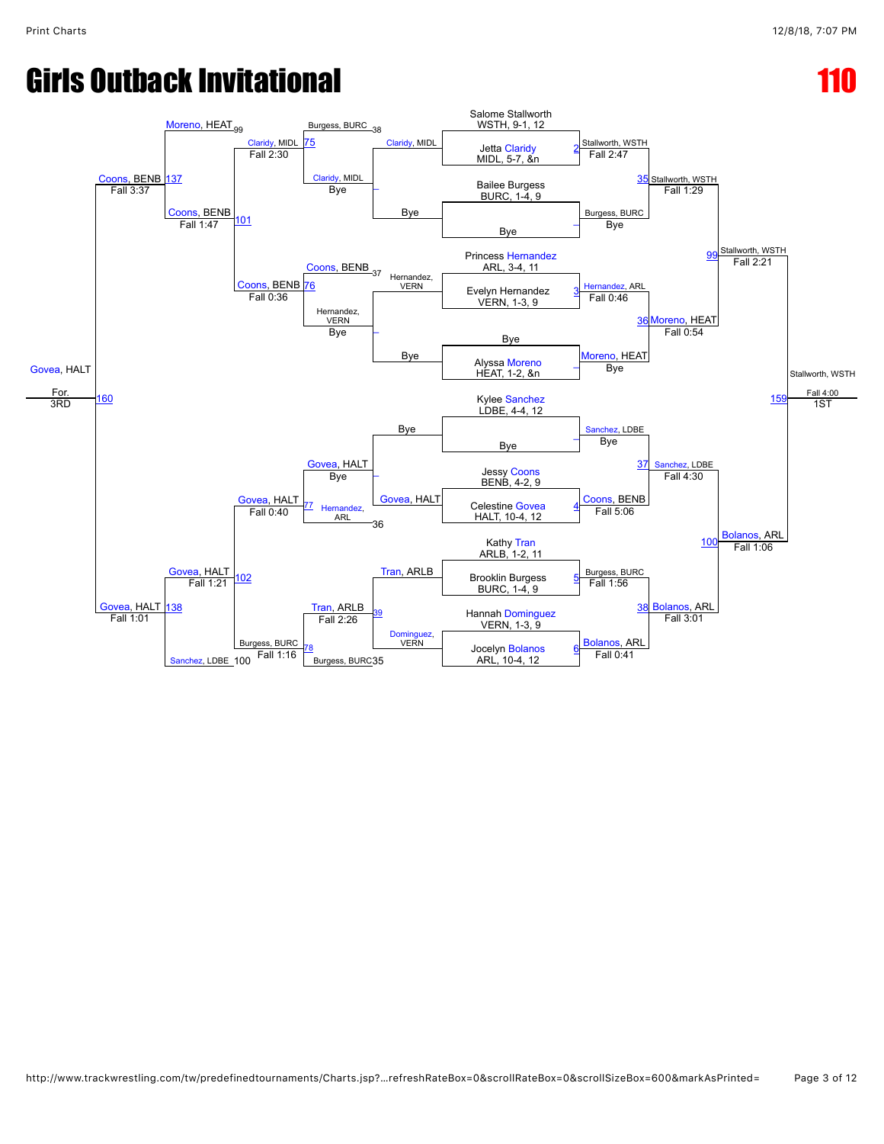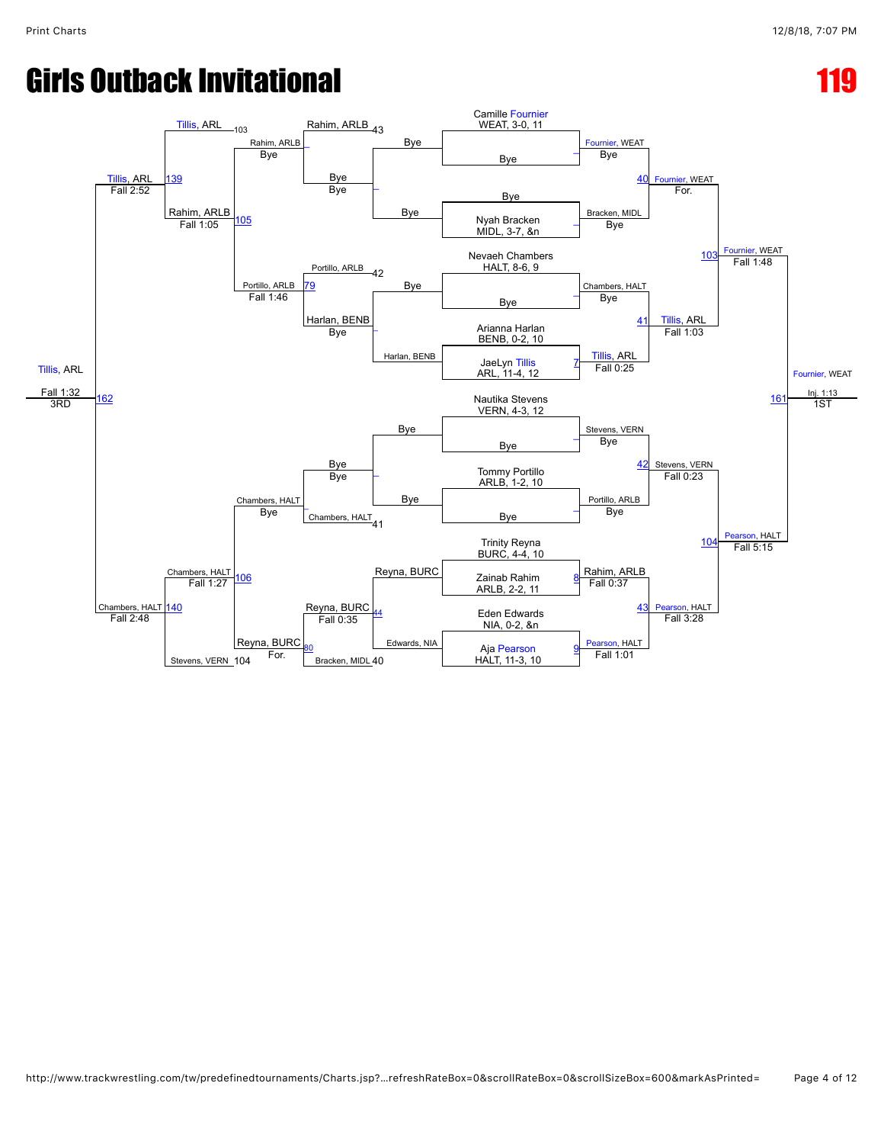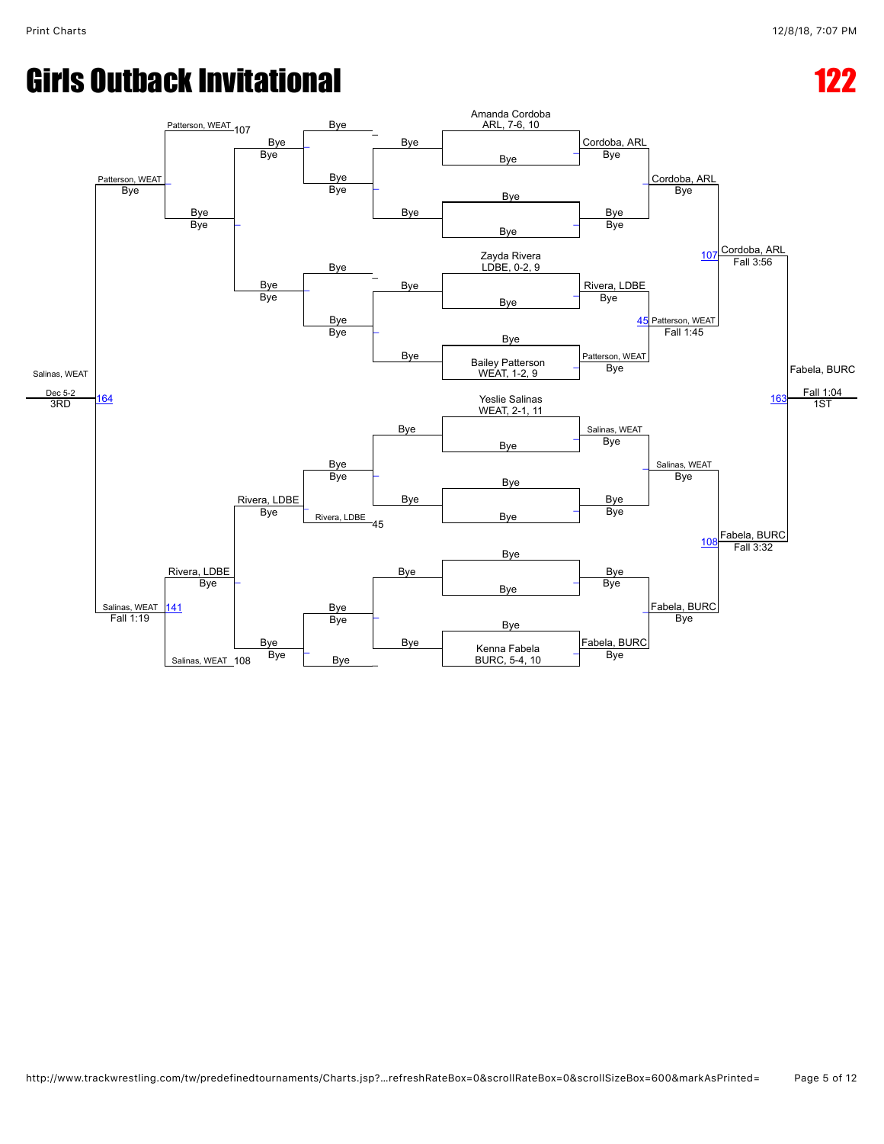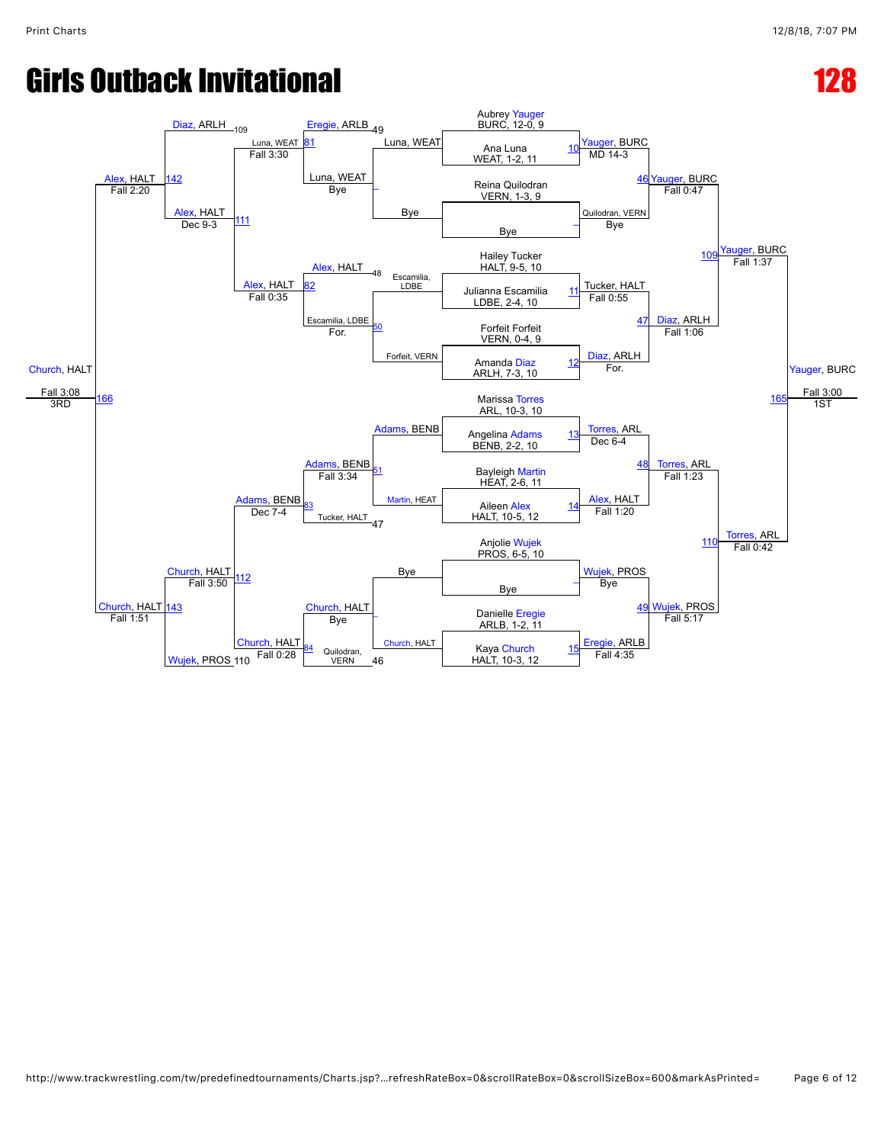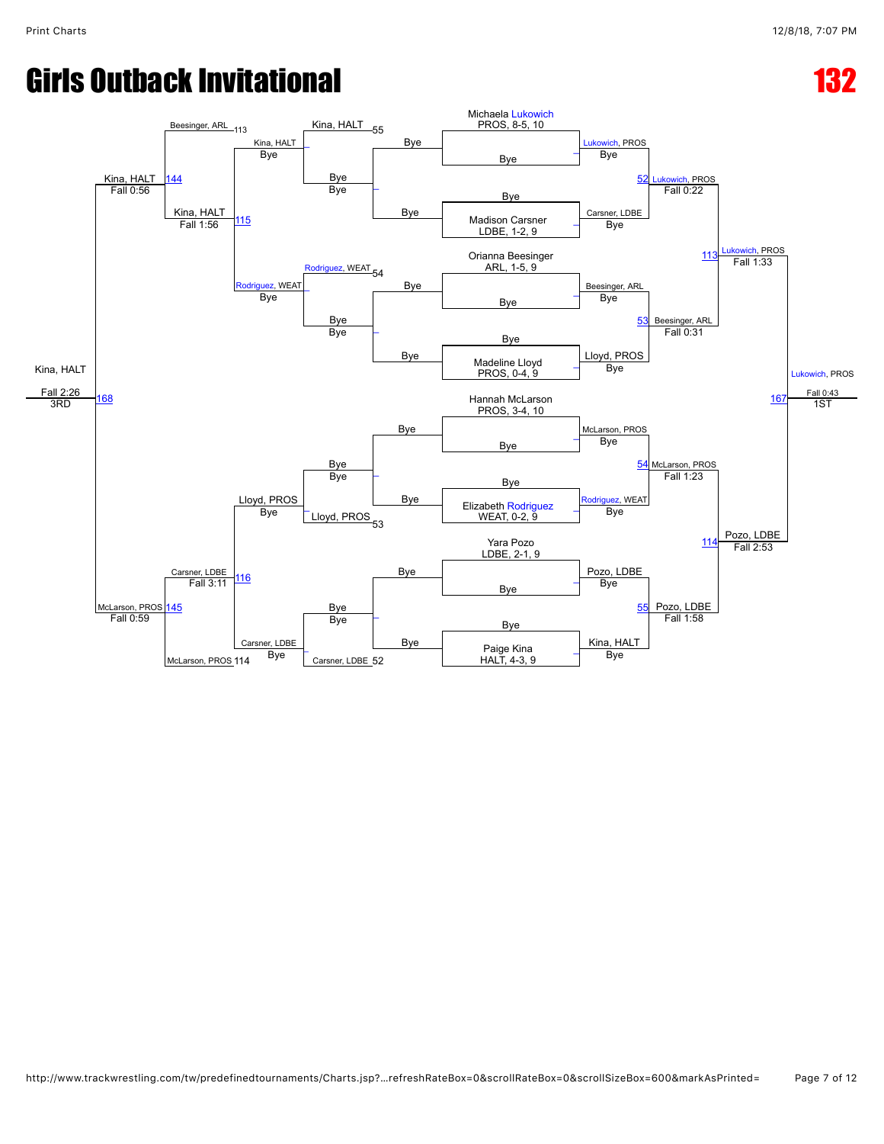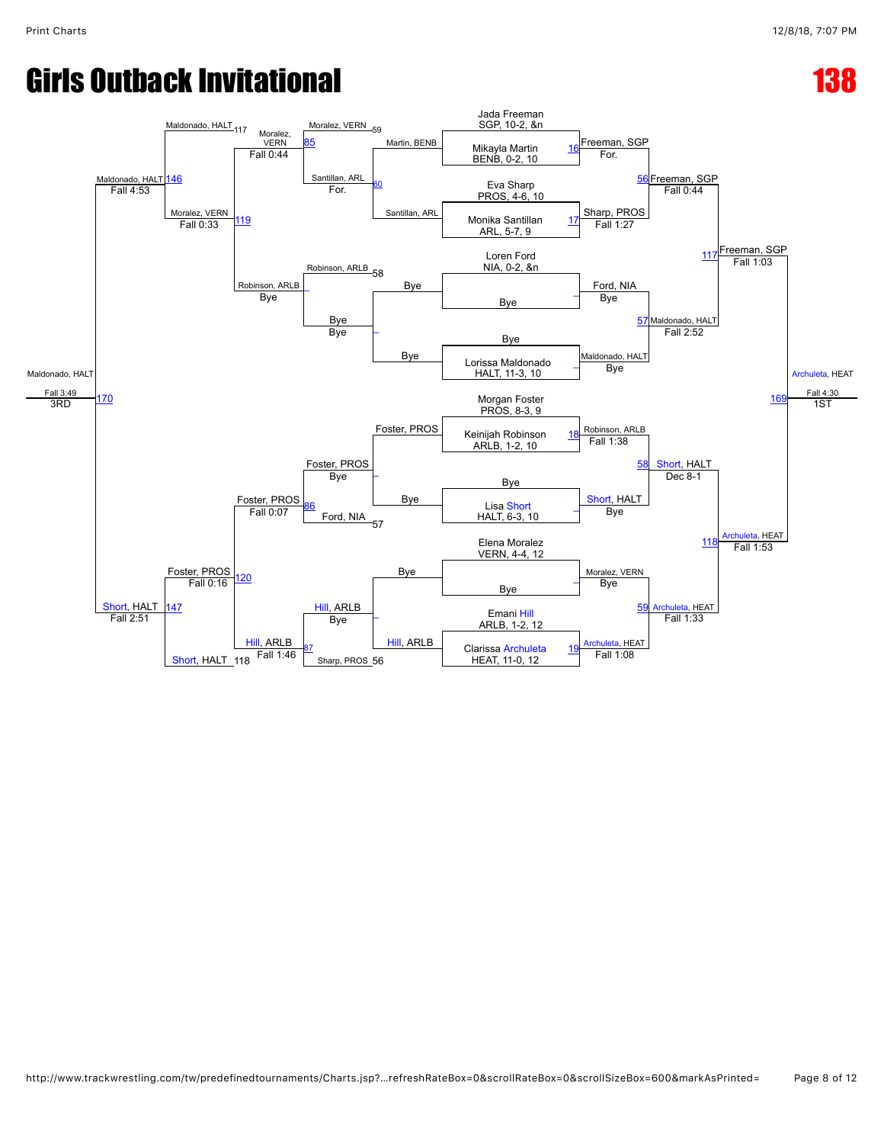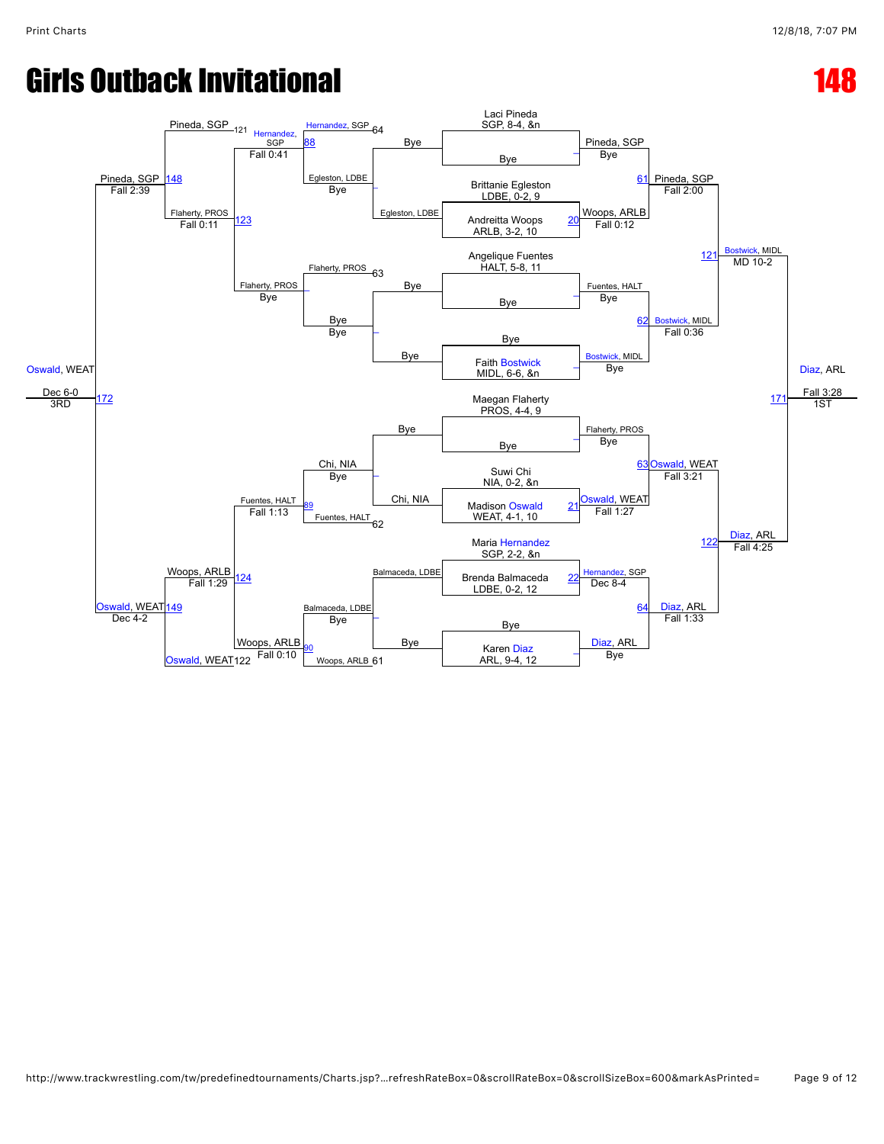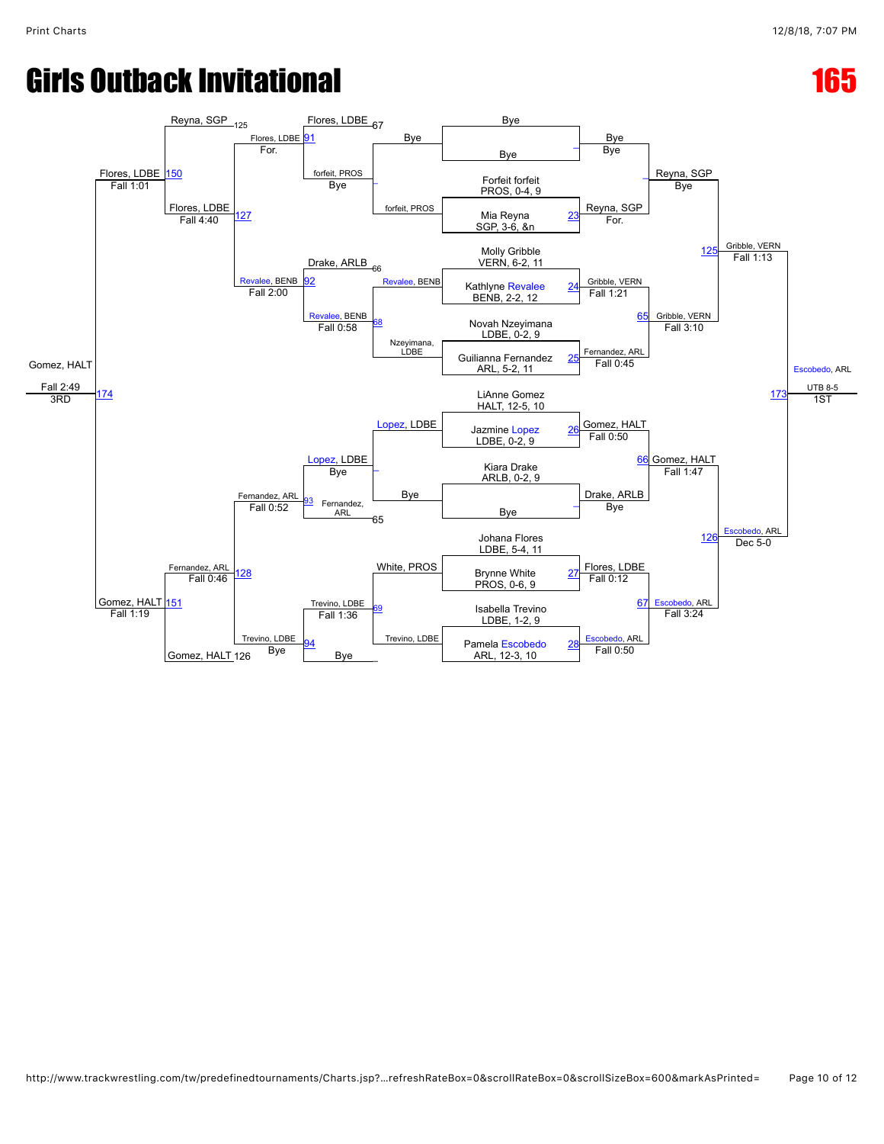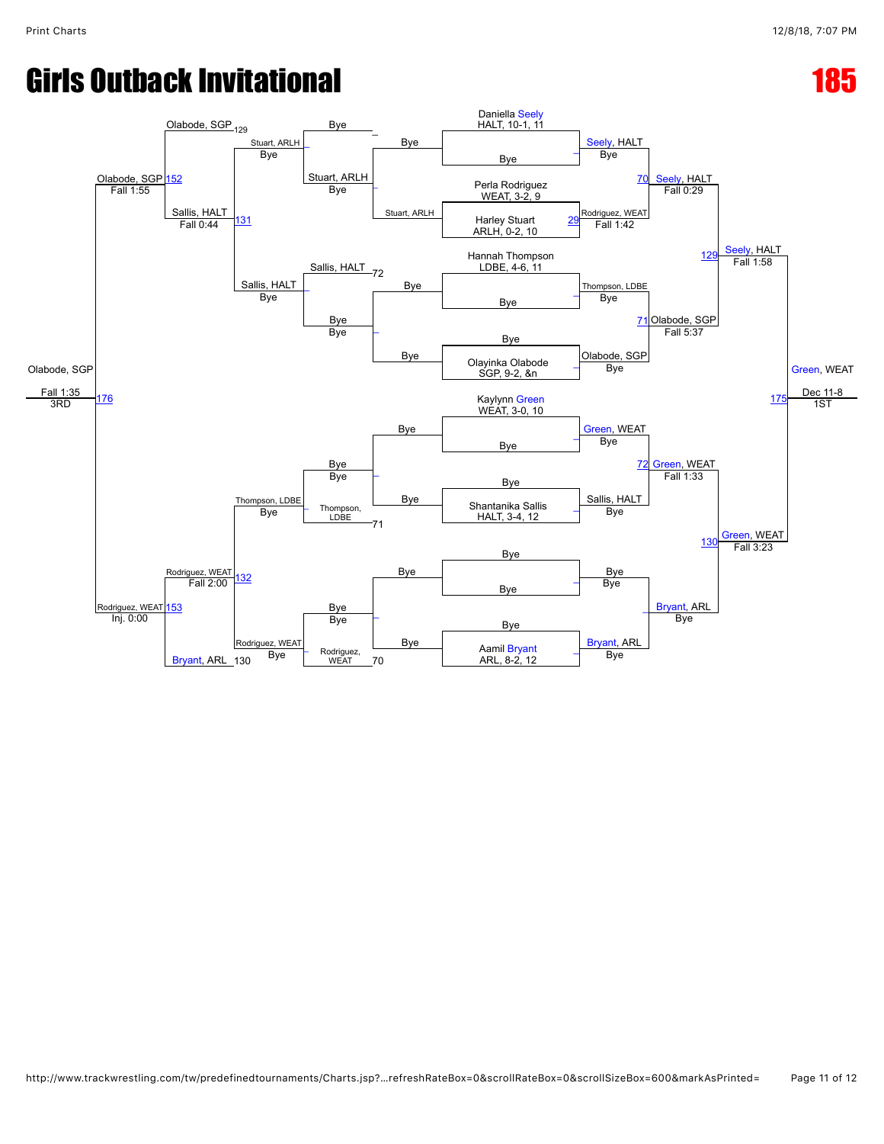